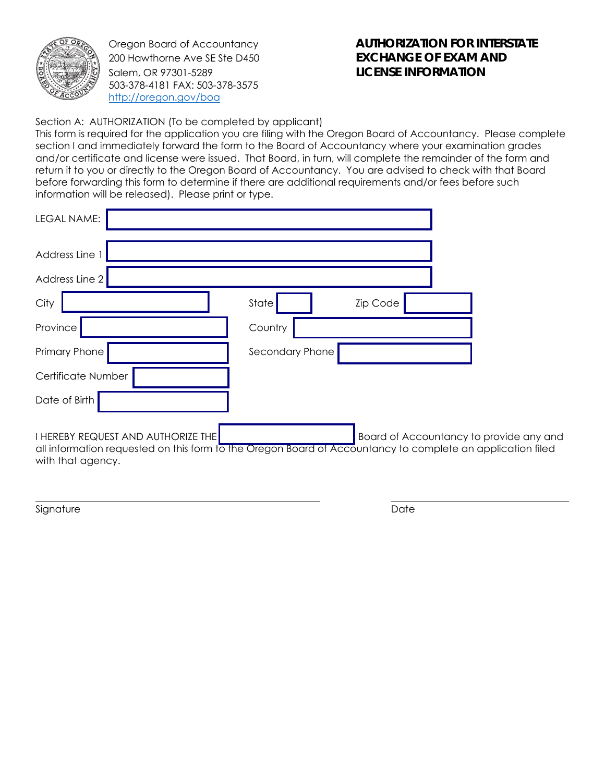

Oregon Board of Accountancy 200 Hawthorne Ave SE Ste D450 Salem, OR 97301-5289 503-378-4181 FAX: 503-378-3575 http://oregon.gov/boa

## **AUTHORIZATION FOR INTERSTATE EXCHANGE OF EXAM AND LICENSE INFORMATION**

Section A: AUTHORIZATION (To be completed by applicant)

This form is required for the application you are filing with the Oregon Board of Accountancy. Please complete section I and immediately forward the form to the Board of Accountancy where your examination grades and/or certificate and license were issued. That Board, in turn, will complete the remainder of the form and return it to you or directly to the Oregon Board of Accountancy. You are advised to check with that Board before forwarding this form to determine if there are additional requirements and/or fees before such information will be released). Please print or type.

| <b>LEGAL NAME:</b>                                                                                                                                                           |                   |                                         |
|------------------------------------------------------------------------------------------------------------------------------------------------------------------------------|-------------------|-----------------------------------------|
| Address Line 1                                                                                                                                                               |                   |                                         |
| Address Line 2                                                                                                                                                               |                   |                                         |
| City                                                                                                                                                                         | State<br>Zip Code |                                         |
| Province                                                                                                                                                                     | Country           |                                         |
| Primary Phone                                                                                                                                                                | Secondary Phone   |                                         |
| Certificate Number                                                                                                                                                           |                   |                                         |
| Date of Birth                                                                                                                                                                |                   |                                         |
| <b>I HEREBY REQUEST AND AUTHORIZE THE</b><br>all information requested on this form to the Oregon Board of Accountancy to complete an application filed<br>with that agency. |                   | Board of Accountancy to provide any and |

Signature Date Date of the Date of the Date of the Date of the Date of the Date of the Date of the Date of the Date of the Date of the Date of the Date of the Date of the Date of the Date of the Date of the Date of the Dat